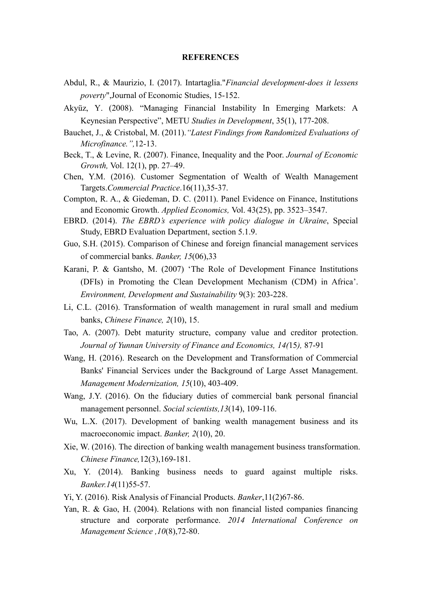## **REFERENCES**

- Abdul, R., & Maurizio, I. (2017). Intartaglia."*Financial development-does it lessens poverty*",Journal of Economic Studies, 15-152.
- Akyüz, Y. (2008). "Managing Financial Instability In Emerging Markets: A Keynesian Perspective", METU *Studies in Development*, 35(1), 177-208.
- Bauchet, J., & Cristobal, M. (2011).*"Latest Findings from Randomized Evaluations of Microfinance.",*12-13.
- Beck, T., & Levine, R. (2007). Finance, Inequality and the Poor. *Journal of Economic Growth,* Vol. 12(1), pp. 27–49.
- Chen, Y.M. (2016). Customer Segmentation of Wealth of Wealth Management Targets.*Commercial Practice*.16(11),35-37.
- Compton, R. A., & Giedeman, D. C. (2011). Panel Evidence on Finance, Institutions and Economic Growth. *Applied Economics,* Vol. 43(25), pp. 3523–3547.
- EBRD. (2014). *The EBRD's experience with policy dialogue in Ukraine*, Special Study, EBRD Evaluation Department, section 5.1.9.
- Guo, S.H. (2015). Comparison of Chinese and foreign financial management services of commercial banks. *Banker, 15*(06),33
- Karani, P. & Gantsho, M. (2007) 'The Role of Development Finance Institutions (DFIs) in Promoting the Clean Development Mechanism (CDM) in Africa'. *Environment, Development and Sustainability* 9(3): 203-228.
- Li, C.L. (2016). Transformation of wealth management in rural small and medium banks, *Chinese Finance, 2*(10), 15.
- Tao, A. (2007). Debt maturity structure, company value and creditor protection. *Journal of Yunnan University of Finance and Economics, 14(*15*),* 87-91
- Wang, H. (2016). Research on the Development and Transformation of Commercial Banks' Financial Services under the Background of Large Asset Management. *Management Modernization, 15*(10), 403-409.
- Wang, J.Y. (2016). On the fiduciary duties of commercial bank personal financial management personnel. *Social scientists,13*(14), 109-116.
- Wu, L.X. (2017). Development of banking wealth management business and its macroeconomic impact. *Banker, 2*(10), 20.
- Xie, W. (2016). The direction of banking wealth management business transformation. *Chinese Finance,*12(3),169-181.
- Xu, Y. (2014). Banking business needs to guard against multiple risks. *Banker.14*(11)55-57.
- Yi, Y. (2016). Risk Analysis of Financial Products. *Banker*, 11(2) 67-86.
- Yan, R. & Gao, H. (2004). Relations with non financial listed companies financing structure and corporate performance. *2014 International Conference on Management Science ,10*(8),72-80.